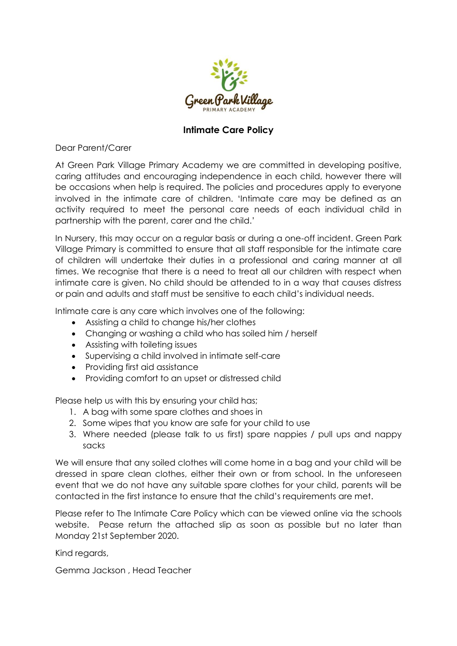

## **Intimate Care Policy**

Dear Parent/Carer

At Green Park Village Primary Academy we are committed in developing positive, caring attitudes and encouraging independence in each child, however there will be occasions when help is required. The policies and procedures apply to everyone involved in the intimate care of children. 'Intimate care may be defined as an activity required to meet the personal care needs of each individual child in partnership with the parent, carer and the child.'

In Nursery, this may occur on a regular basis or during a one-off incident. Green Park Village Primary is committed to ensure that all staff responsible for the intimate care of children will undertake their duties in a professional and caring manner at all times. We recognise that there is a need to treat all our children with respect when intimate care is given. No child should be attended to in a way that causes distress or pain and adults and staff must be sensitive to each child's individual needs.

Intimate care is any care which involves one of the following:

- Assisting a child to change his/her clothes
- Changing or washing a child who has soiled him / herself
- Assisting with toileting issues
- Supervising a child involved in intimate self-care
- Providing first aid assistance
- Providing comfort to an upset or distressed child

Please help us with this by ensuring your child has;

- 1. A bag with some spare clothes and shoes in
- 2. Some wipes that you know are safe for your child to use
- 3. Where needed (please talk to us first) spare nappies / pull ups and nappy sacks

We will ensure that any soiled clothes will come home in a bag and your child will be dressed in spare clean clothes, either their own or from school. In the unforeseen event that we do not have any suitable spare clothes for your child, parents will be contacted in the first instance to ensure that the child's requirements are met.

Please refer to The Intimate Care Policy which can be viewed online via the schools website. Pease return the attached slip as soon as possible but no later than Monday 21st September 2020.

Kind regards,

Gemma Jackson , Head Teacher